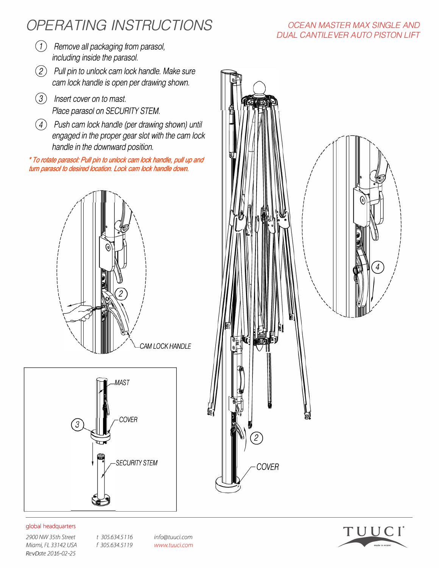# *OPERA TING INSTRUCTIONS*

- *CJ) Remove all packaging from parasol, including inside the parasol.*
- *(J) Pull pin to unlock cam lock handle. Make sure cam lock handle is open per drawing shown.*
- *CI) Insert cover on to mast. Place parasol on SECURITY STEM.*
- *(D Push cam lock handle (per drawing shown) until engaged in the proper gear slot with the cam lock handle in the downward position.*

*\* To rotate parasol.' Pull pin to unlock cam lock handle, pull up and turn parasol to desired location. Lock cam lock handle down.*





### global headquarters

*2900 NW 35th Street t 305.634.5* 7 7 6 *Miami, FL 33142 USA* f 305.634.5119 *RevDate 2016-02-25*

*info@tuuci.com www.tuuci.com* 

### *OCEAN MASTER MAX SINGLE AND DUAL CANTILEVER AUTO PISTON LIFT*



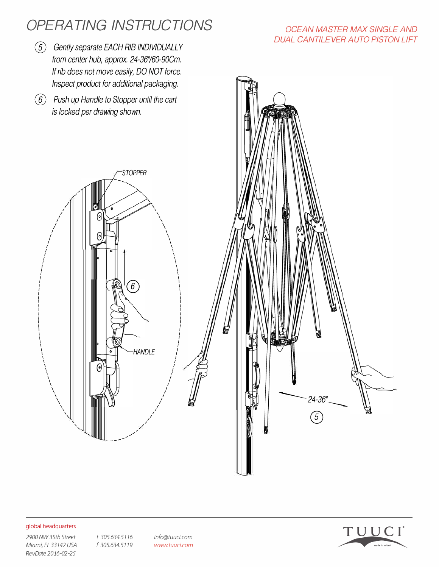# *OPERA TING INSTRUCTIONS*

- @ *Gently separate EACH RIB INDIVIDUALLY from center hub, approx. 24-36'160-90Cm. If rib does not move easily, DO NOT force.*
- @ *Push up Handle to Stopper until the cart*

## *OCEAN MASTER MAX SINGLE AND DUAL CANTILEVER AUTO PISTON LIFT*



#### global headquarters

*2900 NW 35th Street t 305.634.5* 7 7 6 *Miami, FL 33142 USA* f 305.634.5119 *RevDate 2016-02-25*

*info@tuuci.com www.tuuci.com*